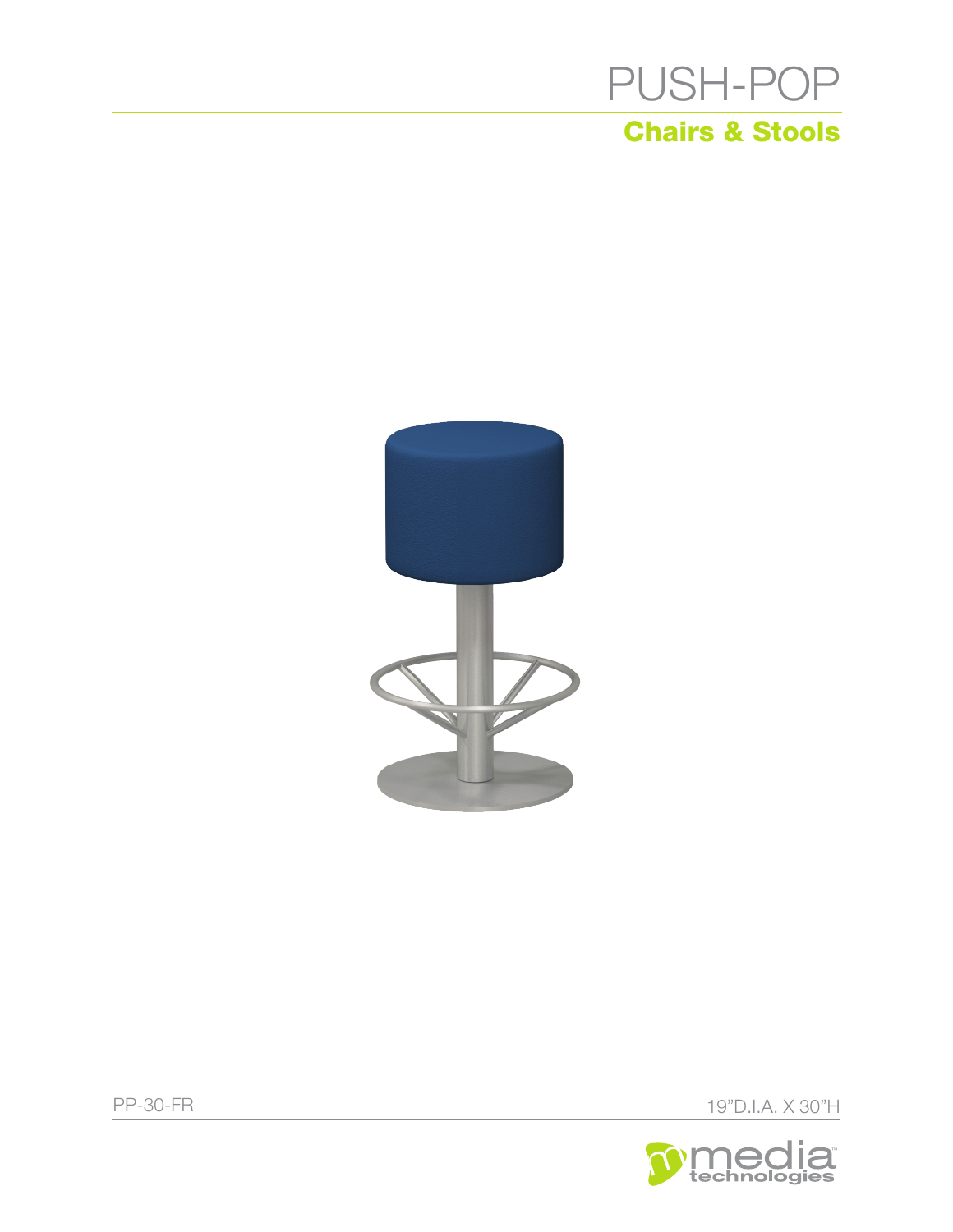



PP-30-FR 19"D.I.A. X 30"H